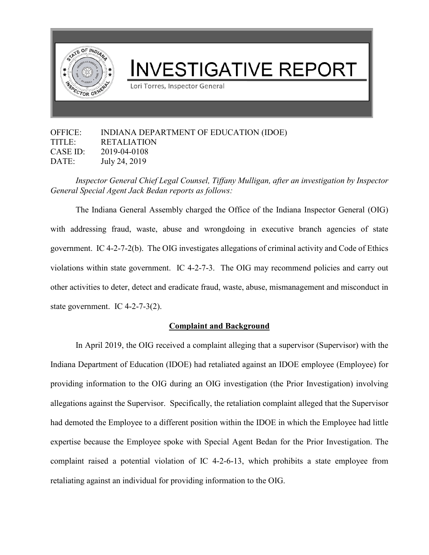

## OFFICE: INDIANA DEPARTMENT OF EDUCATION (IDOE) TITLE: RETALIATION CASE ID: 2019-04-0108 DATE: July 24, 2019

*Inspector General Chief Legal Counsel, Tiffany Mulligan, after an investigation by Inspector General Special Agent Jack Bedan reports as follows:*

The Indiana General Assembly charged the Office of the Indiana Inspector General (OIG) with addressing fraud, waste, abuse and wrongdoing in executive branch agencies of state government. IC 4-2-7-2(b). The OIG investigates allegations of criminal activity and Code of Ethics violations within state government. IC 4-2-7-3. The OIG may recommend policies and carry out other activities to deter, detect and eradicate fraud, waste, abuse, mismanagement and misconduct in state government. IC 4-2-7-3(2).

## **Complaint and Background**

In April 2019, the OIG received a complaint alleging that a supervisor (Supervisor) with the Indiana Department of Education (IDOE) had retaliated against an IDOE employee (Employee) for providing information to the OIG during an OIG investigation (the Prior Investigation) involving allegations against the Supervisor. Specifically, the retaliation complaint alleged that the Supervisor had demoted the Employee to a different position within the IDOE in which the Employee had little expertise because the Employee spoke with Special Agent Bedan for the Prior Investigation. The complaint raised a potential violation of IC 4-2-6-13, which prohibits a state employee from retaliating against an individual for providing information to the OIG.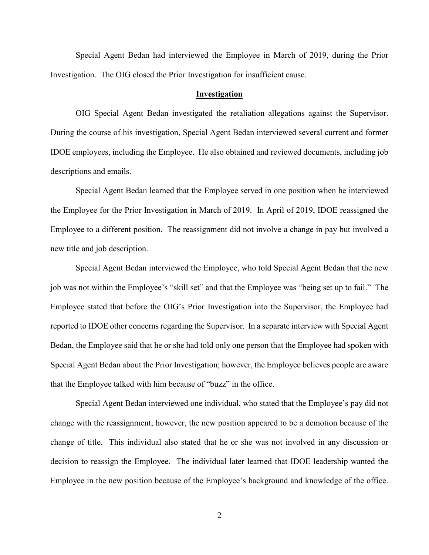Special Agent Bedan had interviewed the Employee in March of 2019, during the Prior Investigation. The OIG closed the Prior Investigation for insufficient cause.

## **Investigation**

OIG Special Agent Bedan investigated the retaliation allegations against the Supervisor. During the course of his investigation, Special Agent Bedan interviewed several current and former IDOE employees, including the Employee. He also obtained and reviewed documents, including job descriptions and emails.

Special Agent Bedan learned that the Employee served in one position when he interviewed the Employee for the Prior Investigation in March of 2019. In April of 2019, IDOE reassigned the Employee to a different position. The reassignment did not involve a change in pay but involved a new title and job description.

Special Agent Bedan interviewed the Employee, who told Special Agent Bedan that the new job was not within the Employee's "skill set" and that the Employee was "being set up to fail." The Employee stated that before the OIG's Prior Investigation into the Supervisor, the Employee had reported to IDOE other concerns regarding the Supervisor. In a separate interview with Special Agent Bedan, the Employee said that he or she had told only one person that the Employee had spoken with Special Agent Bedan about the Prior Investigation; however, the Employee believes people are aware that the Employee talked with him because of "buzz" in the office.

Special Agent Bedan interviewed one individual, who stated that the Employee's pay did not change with the reassignment; however, the new position appeared to be a demotion because of the change of title. This individual also stated that he or she was not involved in any discussion or decision to reassign the Employee. The individual later learned that IDOE leadership wanted the Employee in the new position because of the Employee's background and knowledge of the office.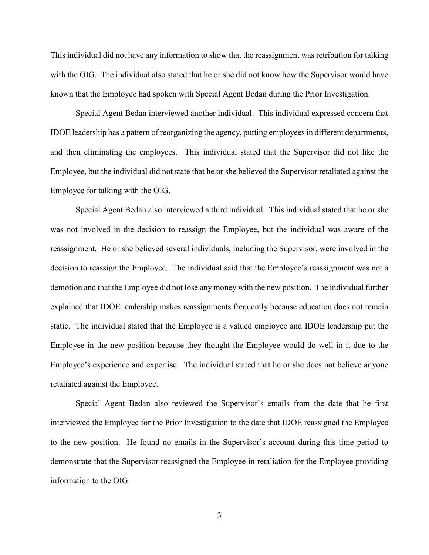This individual did not have any information to show that the reassignment was retribution for talking with the OIG. The individual also stated that he or she did not know how the Supervisor would have known that the Employee had spoken with Special Agent Bedan during the Prior Investigation.

Special Agent Bedan interviewed another individual. This individual expressed concern that IDOE leadership has a pattern of reorganizing the agency, putting employees in different departments, and then eliminating the employees. This individual stated that the Supervisor did not like the Employee, but the individual did not state that he or she believed the Supervisor retaliated against the Employee for talking with the OIG.

Special Agent Bedan also interviewed a third individual. This individual stated that he or she was not involved in the decision to reassign the Employee, but the individual was aware of the reassignment. He or she believed several individuals, including the Supervisor, were involved in the decision to reassign the Employee. The individual said that the Employee's reassignment was not a demotion and that the Employee did not lose any money with the new position. The individual further explained that IDOE leadership makes reassignments frequently because education does not remain static. The individual stated that the Employee is a valued employee and IDOE leadership put the Employee in the new position because they thought the Employee would do well in it due to the Employee's experience and expertise. The individual stated that he or she does not believe anyone retaliated against the Employee.

Special Agent Bedan also reviewed the Supervisor's emails from the date that he first interviewed the Employee for the Prior Investigation to the date that IDOE reassigned the Employee to the new position. He found no emails in the Supervisor's account during this time period to demonstrate that the Supervisor reassigned the Employee in retaliation for the Employee providing information to the OIG.